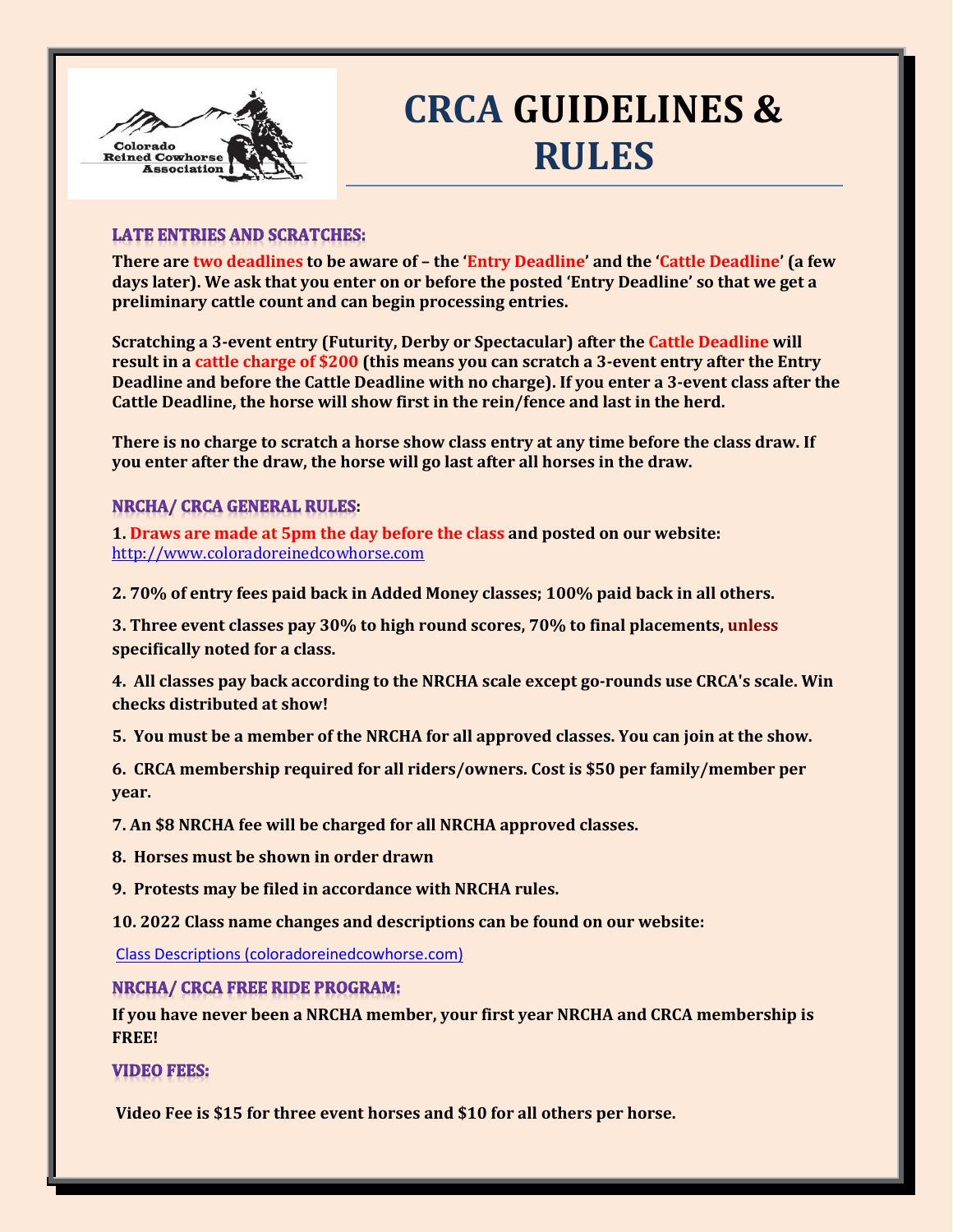

# **CRCA GUIDELINES & RULES**

## **LATE ENTRIES AND SCRATCHES:**

**There are two deadlines to be aware of – the 'Entry Deadline' and the 'Cattle Deadline' (a few days later). We ask that you enter on or before the posted 'Entry Deadline' so that we get a preliminary cattle count and can begin processing entries.** 

**Scratching a 3-event entry (Futurity, Derby or Spectacular) after the Cattle Deadline will result in a cattle charge of \$200 (this means you can scratch a 3-event entry after the Entry Deadline and before the Cattle Deadline with no charge). If you enter a 3-event class after the Cattle Deadline, the horse will show first in the rein/fence and last in the herd.** 

**There is no charge to scratch a horse show class entry at any time before the class draw. If you enter after the draw, the horse will go last after all horses in the draw.**

## **NRCHA/ CRCA GENERAL RULES:**

**1. Draws are made at 5pm the day before the class and posted on our website:** [http://www.coloradoreinedcowhorse.com](http://www.coloradoreinedcowhorse.com/)

**2. 70% of entry fees paid back in Added Money classes; 100% paid back in all others.**

**3. Three event classes pay 30% to high round scores, 70% to final placements, unless specifically noted for a class.**

**4. All classes pay back according to the NRCHA scale except go-rounds use CRCA's scale. Win checks distributed at show!**

**5. You must be a member of the NRCHA for all approved classes. You can join at the show.**

**6. CRCA membership required for all riders/owners. Cost is \$50 per family/member per year.**

**7. An \$8 NRCHA fee will be charged for all NRCHA approved classes.**

**8. Horses must be shown in order drawn**

**9. Protests may be filed in accordance with NRCHA rules.**

**10. 2022 Class name changes and descriptions can be found on our website:**

[Class Descriptions \(coloradoreinedcowhorse.com\)](http://www.coloradoreinedcowhorse.com/class-descriptions.html)

### **NRCHA/ CRCA FREE RIDE PROGRAM:**

**If you have never been a NRCHA member, your first year NRCHA and CRCA membership is FREE!** 

**VIDEO FEES:** 

**Video Fee is \$15 for three event horses and \$10 for all others per horse.**